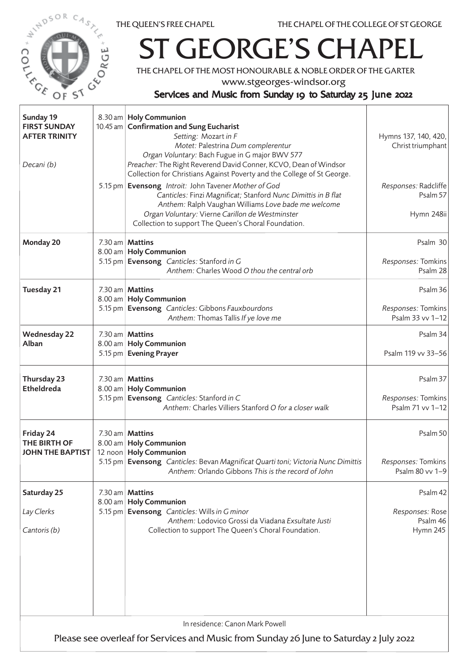



## ST GEORGE'S CHAPEL

THE CHAPEL OF THE MOST HONOURABLE & NOBLE ORDER OF THE GARTER

www.stgeorges-windsor.org

## Services and Music from Sunday 19 to Saturday 25 June 2022

| Sunday 19<br><b>FIRST SUNDAY</b><br><b>AFTER TRINITY</b><br>Decani (b)                                                    |  | 8.30 am   Holy Communion<br>10.45 am   Confirmation and Sung Eucharist<br>Setting: Mozart in F<br>Motet: Palestrina Dum complerentur<br>Organ Voluntary: Bach Fugue in G major BWV 577<br>Preacher: The Right Reverend David Conner, KCVO, Dean of Windsor<br>Collection for Christians Against Poverty and the College of St George.<br>5.15 pm   Evensong Introit: John Tavener Mother of God<br>Canticles: Finzi Magnificat; Stanford Nunc Dimittis in B flat<br>Anthem: Ralph Vaughan Williams Love bade me welcome | Hymns 137, 140, 420,<br>Christ triumphant<br>Responses: Radcliffe<br>Psalm 57 |  |
|---------------------------------------------------------------------------------------------------------------------------|--|-------------------------------------------------------------------------------------------------------------------------------------------------------------------------------------------------------------------------------------------------------------------------------------------------------------------------------------------------------------------------------------------------------------------------------------------------------------------------------------------------------------------------|-------------------------------------------------------------------------------|--|
|                                                                                                                           |  | Organ Voluntary: Vierne Carillon de Westminster<br>Collection to support The Queen's Choral Foundation.                                                                                                                                                                                                                                                                                                                                                                                                                 | Hymn 248ii                                                                    |  |
| Monday 20                                                                                                                 |  | 7.30 am   Mattins<br>8.00 am   Holy Communion<br>5.15 pm   Evensong Canticles: Stanford in G<br>Anthem: Charles Wood O thou the central orb                                                                                                                                                                                                                                                                                                                                                                             | Psalm 30<br>Responses: Tomkins<br>Psalm 28                                    |  |
| Tuesday 21                                                                                                                |  | 7.30 am   Mattins<br>8.00 am   Holy Communion<br>5.15 pm Evensong Canticles: Gibbons Fauxbourdons<br>Anthem: Thomas Tallis If ye love me                                                                                                                                                                                                                                                                                                                                                                                | Psalm 36<br>Responses: Tomkins<br>Psalm 33 vv 1-12                            |  |
| <b>Wednesday 22</b><br>Alban                                                                                              |  | 7.30 am   Mattins<br>8.00 am   Holy Communion<br>5.15 pm   Evening Prayer                                                                                                                                                                                                                                                                                                                                                                                                                                               | Psalm 34<br>Psalm 119 vv 33-56                                                |  |
| Thursday 23<br><b>Etheldreda</b>                                                                                          |  | 7.30 am   Mattins<br>8.00 am   Holy Communion<br>5.15 pm Evensong Canticles: Stanford in C<br>Anthem: Charles Villiers Stanford O for a closer walk                                                                                                                                                                                                                                                                                                                                                                     | Psalm 37<br>Responses: Tomkins<br>Psalm 71 vv 1-12                            |  |
| Friday 24<br>THE BIRTH OF<br><b>JOHN THE BAPTIST</b>                                                                      |  | 7.30 am   Mattins<br>8.00 am   Holy Communion<br>12 noon   Holy Communion<br>5.15 pm   Evensong Canticles: Bevan Magnificat Quarti toni; Victoria Nunc Dimittis<br>Anthem: Orlando Gibbons This is the record of John                                                                                                                                                                                                                                                                                                   | Psalm 50<br>Responses: Tomkins<br>Psalm 80 vv 1-9                             |  |
| Saturday 25<br>Lay Clerks<br>Cantoris (b)                                                                                 |  | 7.30 am   Mattins<br>8.00 am   Holy Communion<br>5.15 pm   Evensong Canticles: Wills in G minor<br>Anthem: Lodovico Grossi da Viadana Exsultate Justi<br>Collection to support The Queen's Choral Foundation.                                                                                                                                                                                                                                                                                                           | Psalm 42<br>Responses: Rose<br>Psalm 46<br>Hymn 245                           |  |
| In residence: Canon Mark Powell<br>Please see overleaf for Services and Music from Sunday 26 June to Saturday 2 July 2022 |  |                                                                                                                                                                                                                                                                                                                                                                                                                                                                                                                         |                                                                               |  |